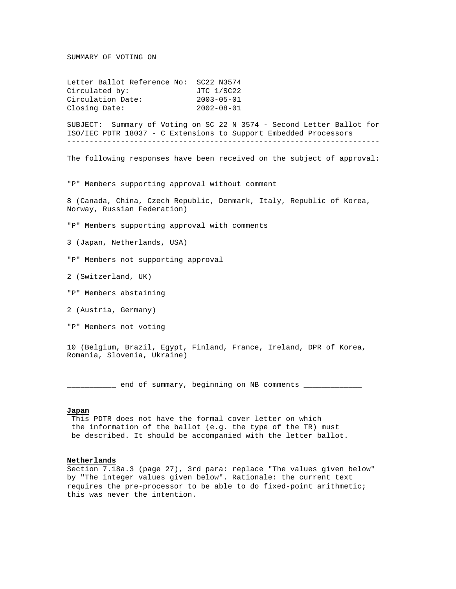## SUMMARY OF VOTING ON

Letter Ballot Reference No: SC22 N3574 Circulated by: JTC 1/SC22 Circulation Date: 2003-05-01 Closing Date: 2002-08-01

SUBJECT: Summary of Voting on SC 22 N 3574 - Second Letter Ballot for ISO/IEC PDTR 18037 - C Extensions to Support Embedded Processors ----------------------------------------------------------------------

The following responses have been received on the subject of approval:

"P" Members supporting approval without comment

8 (Canada, China, Czech Republic, Denmark, Italy, Republic of Korea, Norway, Russian Federation)

"P" Members supporting approval with comments

3 (Japan, Netherlands, USA)

"P" Members not supporting approval

2 (Switzerland, UK)

- "P" Members abstaining
- 2 (Austria, Germany)

"P" Members not voting

10 (Belgium, Brazil, Egypt, Finland, France, Ireland, DPR of Korea, Romania, Slovenia, Ukraine)

\_\_\_\_\_\_\_ end of summary, beginning on NB comments \_

# **Japan**

 This PDTR does not have the formal cover letter on which the information of the ballot (e.g. the type of the TR) must be described. It should be accompanied with the letter ballot.

### **Netherlands**

Section 7.18a.3 (page 27), 3rd para: replace "The values given below" by "The integer values given below". Rationale: the current text requires the pre-processor to be able to do fixed-point arithmetic; this was never the intention.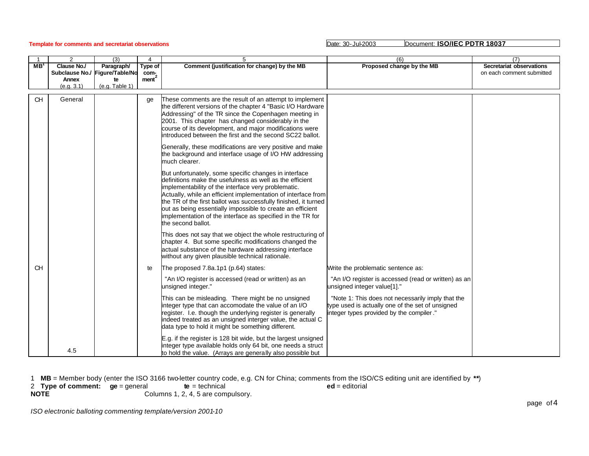# **Template for comments and secretariat observations** Date: 30-Jul-2003 Date: 30-Jul-2003 Document: **ISO/IEC PDTR 18037**

|                 | 2                              | (3)            | 4                    | 5                                                                                                                                                                                                                                                                                                                                                                                                                                                              | (6)                                                                                                                                               | (7)                       |
|-----------------|--------------------------------|----------------|----------------------|----------------------------------------------------------------------------------------------------------------------------------------------------------------------------------------------------------------------------------------------------------------------------------------------------------------------------------------------------------------------------------------------------------------------------------------------------------------|---------------------------------------------------------------------------------------------------------------------------------------------------|---------------------------|
| MB <sup>1</sup> | Clause No./                    | Paragraph/     | Type of              | Comment (justification for change) by the MB                                                                                                                                                                                                                                                                                                                                                                                                                   | Proposed change by the MB                                                                                                                         | Secretariat observations  |
|                 | Subclause No./ Figure/Table/No |                | com-                 |                                                                                                                                                                                                                                                                                                                                                                                                                                                                |                                                                                                                                                   | on each comment submitted |
|                 | Annex                          | te             | $m$ ent <sup>2</sup> |                                                                                                                                                                                                                                                                                                                                                                                                                                                                |                                                                                                                                                   |                           |
|                 | (e.q.3.1)                      | (e.g. Table 1) |                      |                                                                                                                                                                                                                                                                                                                                                                                                                                                                |                                                                                                                                                   |                           |
|                 |                                |                |                      |                                                                                                                                                                                                                                                                                                                                                                                                                                                                |                                                                                                                                                   |                           |
| <b>CH</b>       | General                        |                | ge                   | These comments are the result of an attempt to implement<br>the different versions of the chapter 4 "Basic I/O Hardware<br>Addressing" of the TR since the Copenhagen meeting in<br>2001. This chapter has changed considerably in the<br>course of its development, and major modifications were<br>introduced between the first and the second SC22 ballot.<br>Generally, these modifications are very positive and make                                     |                                                                                                                                                   |                           |
|                 |                                |                |                      | the background and interface usage of I/O HW addressing<br>much clearer.                                                                                                                                                                                                                                                                                                                                                                                       |                                                                                                                                                   |                           |
|                 |                                |                |                      | But unfortunately, some specific changes in interface<br>definitions make the usefulness as well as the efficient<br>implementability of the interface very problematic.<br>Actually, while an efficient implementation of interface from<br>the TR of the first ballot was successfully finished, it turned<br>out as being essentially impossible to create an efficient<br>implementation of the interface as specified in the TR for<br>the second ballot. |                                                                                                                                                   |                           |
|                 |                                |                |                      | This does not say that we object the whole restructuring of<br>chapter 4. But some specific modifications changed the<br>actual substance of the hardware addressing interface<br>without any given plausible technical rationale.                                                                                                                                                                                                                             |                                                                                                                                                   |                           |
| CH              |                                |                | te                   | The proposed 7.8a.1p1 (p.64) states:                                                                                                                                                                                                                                                                                                                                                                                                                           | Write the problematic sentence as:                                                                                                                |                           |
|                 |                                |                |                      | "An I/O register is accessed (read or written) as an<br>unsigned integer."                                                                                                                                                                                                                                                                                                                                                                                     | "An I/O register is accessed (read or written) as an<br>unsigned integer value[1]."                                                               |                           |
|                 |                                |                |                      | This can be misleading. There might be no unsigned<br>integer type that can accomodate the value of an I/O<br>register. I.e. though the underlying register is generally<br>indeed treated as an unsigned interger value, the actual C<br>data type to hold it might be something different.                                                                                                                                                                   | "Note 1: This does not necessarily imply that the<br>type used is actually one of the set of unsigned<br>integer types provided by the compiler." |                           |
|                 | 4.5                            |                |                      | E.g. if the register is 128 bit wide, but the largest unsigned<br>integer type available holds only 64 bit, one needs a struct<br>to hold the value. (Arrays are generally also possible but                                                                                                                                                                                                                                                                   |                                                                                                                                                   |                           |

1 **MB** = Member body (enter the ISO 3166 two-letter country code, e.g. CN for China; comments from the ISO/CS editing unit are identified by **\*\***)

2 **Type of comment: ge** = general **te** = technical **ed** = editorial

**NOTE** Columns 1, 2, 4, 5 are compulsory.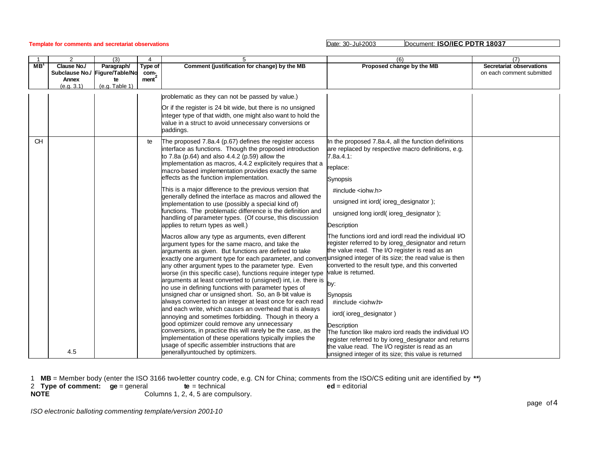# **Template for comments and secretariat observations** Date: 30-Jul-2003 Date: 30-Jul-2003 Document: **ISO/IEC PDTR 18037**

|                 | 2                  | (3)                            | $\overline{4}$       | 5                                                                                                                              | (6)                                                                    | (7)                       |
|-----------------|--------------------|--------------------------------|----------------------|--------------------------------------------------------------------------------------------------------------------------------|------------------------------------------------------------------------|---------------------------|
| MB <sup>1</sup> | Clause No./        | Paragraph/                     | Type of              | Comment (justification for change) by the MB                                                                                   | Proposed change by the MB                                              | Secretariat observations  |
|                 |                    | Subclause No./ Figure/Table/No | com-                 |                                                                                                                                |                                                                        | on each comment submitted |
|                 | Annex<br>(e.q.3.1) | te<br>(e.g. Table 1)           | $m$ ent <sup>2</sup> |                                                                                                                                |                                                                        |                           |
|                 |                    |                                |                      |                                                                                                                                |                                                                        |                           |
|                 |                    |                                |                      | problematic as they can not be passed by value.)                                                                               |                                                                        |                           |
|                 |                    |                                |                      | Or if the register is 24 bit wide, but there is no unsigned                                                                    |                                                                        |                           |
|                 |                    |                                |                      | integer type of that width, one might also want to hold the                                                                    |                                                                        |                           |
|                 |                    |                                |                      | value in a struct to avoid unnecessary conversions or                                                                          |                                                                        |                           |
|                 |                    |                                |                      | paddings.                                                                                                                      |                                                                        |                           |
| <b>CH</b>       |                    |                                | te                   | The proposed 7.8a.4 (p.67) defines the register access                                                                         | In the proposed 7.8a.4, all the function definitions                   |                           |
|                 |                    |                                |                      | interface as functions. Though the proposed introduction                                                                       | are replaced by respective macro definitions, e.g.                     |                           |
|                 |                    |                                |                      | to 7.8a (p.64) and also 4.4.2 (p.59) allow the                                                                                 | 7.8a.4.1:                                                              |                           |
|                 |                    |                                |                      | implementation as macros, 4.4.2 explicitely requires that a                                                                    |                                                                        |                           |
|                 |                    |                                |                      | macro based implementation provides exactly the same                                                                           | replace:                                                               |                           |
|                 |                    |                                |                      | effects as the function implementation.                                                                                        | Synopsis                                                               |                           |
|                 |                    |                                |                      | This is a major difference to the previous version that                                                                        | $\#$ include <iohw.h></iohw.h>                                         |                           |
|                 |                    |                                |                      | generally defined the interface as macros and allowed the<br>implementation to use (possibly a special kind of)                | unsigned int iord(ioreg_designator);                                   |                           |
|                 |                    |                                |                      | functions. The problematic difference is the definition and                                                                    | unsigned long jordl(ioreg designator);                                 |                           |
|                 |                    |                                |                      | handling of parameter types. (Of course, this discussion                                                                       |                                                                        |                           |
|                 |                    |                                |                      | applies to return types as well.)                                                                                              | <b>Description</b>                                                     |                           |
|                 |                    |                                |                      | Macros allow any type as arguments, even different                                                                             | The functions iord and iordl read the individual I/O                   |                           |
|                 |                    |                                |                      | argument types for the same macro, and take the                                                                                | register referred to by ioreg_designator and return                    |                           |
|                 |                    |                                |                      | arguments as given. But functions are defined to take                                                                          | the value read. The I/O register is read as an                         |                           |
|                 |                    |                                |                      | exactly one argument type for each parameter, and convert unsigned integer of its size; the read value is then                 |                                                                        |                           |
|                 |                    |                                |                      | any other argument types to the parameter type. Even                                                                           | converted to the result type, and this converted<br>value is returned. |                           |
|                 |                    |                                |                      | worse (in this specific case), functions require integer type<br>arguments at least converted to (unsigned) int, i.e. there is |                                                                        |                           |
|                 |                    |                                |                      | no use in defining functions with parameter types of                                                                           |                                                                        |                           |
|                 |                    |                                |                      | unsigned char or unsigned short. So, an 8-bit value is                                                                         | Synopsis                                                               |                           |
|                 |                    |                                |                      | always converted to an integer at least once for each read                                                                     | #include <iohwh></iohwh>                                               |                           |
|                 |                    |                                |                      | and each write, which causes an overhead that is always                                                                        |                                                                        |                           |
|                 |                    |                                |                      | annoying and sometimes forbidding. Though in theory a                                                                          | iord(ioreg_designator)                                                 |                           |
|                 |                    |                                |                      | good optimizer could remove any unnecessary                                                                                    | <b>Description</b>                                                     |                           |
|                 |                    |                                |                      | conversions, in practice this will rarely be the case, as the                                                                  | The function like makro jord reads the individual I/O                  |                           |
|                 |                    |                                |                      | implementation of these operations typically implies the<br>usage of specific assembler instructions that are                  | register referred to by ioreg_designator and returns                   |                           |
|                 | 4.5                |                                |                      | generallyuntouched by optimizers.                                                                                              | the value read. The I/O register is read as an                         |                           |
|                 |                    |                                |                      |                                                                                                                                | unsigned integer of its size; this value is returned                   |                           |

1 **MB** = Member body (enter the ISO 3166 two-letter country code, e.g. CN for China; comments from the ISO/CS editing unit are identified by **\*\***)

2 **Type of comment: ge** = general **te** = technical **ed** = editorial **NOTE** Columns 1, 2, 4, 5 are compulsory.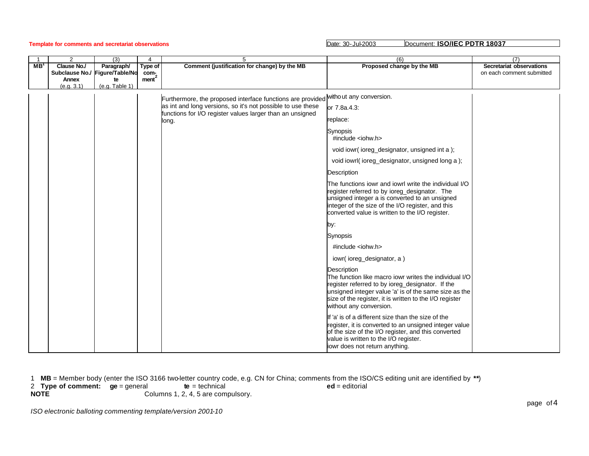|        | 2                                         | (3)                                                                 | 4                                    | 5                                                                                                                                                 | (6)                                                                                                                                                                                                                                                                      | (7)                                                   |
|--------|-------------------------------------------|---------------------------------------------------------------------|--------------------------------------|---------------------------------------------------------------------------------------------------------------------------------------------------|--------------------------------------------------------------------------------------------------------------------------------------------------------------------------------------------------------------------------------------------------------------------------|-------------------------------------------------------|
| $MB^1$ | <b>Clause No./</b><br>Annex<br>(e.q. 3.1) | Paragraph/<br>Subclause No./ Figure/Table/No<br>te<br>(e.q.Table 1) | Type of<br>com-<br>ment <sup>2</sup> | Comment (justification for change) by the MB                                                                                                      | Proposed change by the MB                                                                                                                                                                                                                                                | Secretariat observations<br>on each comment submitted |
|        |                                           |                                                                     |                                      |                                                                                                                                                   |                                                                                                                                                                                                                                                                          |                                                       |
|        |                                           |                                                                     |                                      | Furthermore, the proposed interface functions are provided without any conversion.<br>as int and long versions, so it's not possible to use these |                                                                                                                                                                                                                                                                          |                                                       |
|        |                                           |                                                                     |                                      | functions for I/O register values larger than an unsigned<br>long.                                                                                | or 7.8a.4.3:                                                                                                                                                                                                                                                             |                                                       |
|        |                                           |                                                                     |                                      |                                                                                                                                                   | replace:                                                                                                                                                                                                                                                                 |                                                       |
|        |                                           |                                                                     |                                      |                                                                                                                                                   | Synopsis<br>#include $\lt$ iohw.h>                                                                                                                                                                                                                                       |                                                       |
|        |                                           |                                                                     |                                      |                                                                                                                                                   | void iowr(ioreg_designator, unsigned int a);                                                                                                                                                                                                                             |                                                       |
|        |                                           |                                                                     |                                      |                                                                                                                                                   | void iowrl(ioreg_designator, unsigned long a);                                                                                                                                                                                                                           |                                                       |
|        |                                           |                                                                     |                                      |                                                                                                                                                   | Description                                                                                                                                                                                                                                                              |                                                       |
|        |                                           |                                                                     |                                      |                                                                                                                                                   | The functions jowr and jowrl write the individual I/O<br>register referred to by ioreg_designator. The<br>unsigned integer a is converted to an unsigned<br>integer of the size of the I/O register, and this<br>converted value is written to the I/O register.         |                                                       |
|        |                                           |                                                                     |                                      |                                                                                                                                                   | by:                                                                                                                                                                                                                                                                      |                                                       |
|        |                                           |                                                                     |                                      |                                                                                                                                                   | Synopsis                                                                                                                                                                                                                                                                 |                                                       |
|        |                                           |                                                                     |                                      |                                                                                                                                                   | #include $\lt$ iohw.h>                                                                                                                                                                                                                                                   |                                                       |
|        |                                           |                                                                     |                                      |                                                                                                                                                   | iowr(ioreg_designator, a)                                                                                                                                                                                                                                                |                                                       |
|        |                                           |                                                                     |                                      |                                                                                                                                                   | Description<br>The function like macro iowr writes the individual I/O<br>register referred to by ioreg_designator. If the<br>unsigned integer value 'a' is of the same size as the<br>size of the register, it is written to the I/O register<br>without any conversion. |                                                       |
|        |                                           |                                                                     |                                      |                                                                                                                                                   | If 'a' is of a different size than the size of the<br>register, it is converted to an unsigned integer value<br>of the size of the I/O register, and this converted<br>value is written to the I/O register.<br>jowr does not return anything.                           |                                                       |

1 **MB** = Member body (enter the ISO 3166 two-letter country code, e.g. CN for China; comments from the ISO/CS editing unit are identified by **\*\***) 2 **Type of comment: ge** = general **te** = technical **ed** = editorial **NOTE** Columns 1, 2, 4, 5 are compulsory.

*ISO electronic balloting commenting template/version 2001-10*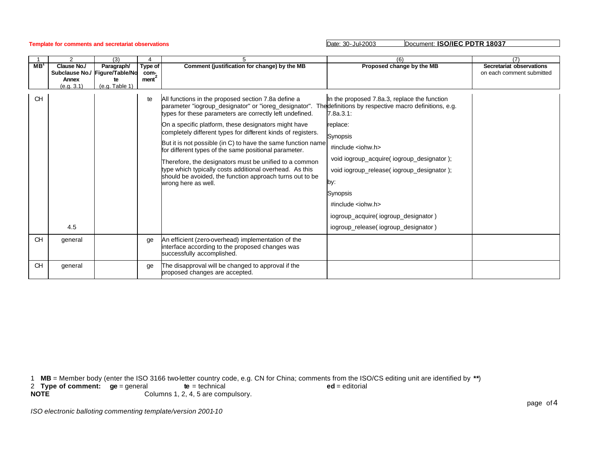**Template for comments and secretariat observations** Date: 30-Jul-2003 Date: 30-Jul-2003 Document: **ISO/IEC PDTR 18037** 

|                 | 2                             | (3)                           |                 |                                                                                                                                                                                                                                                                                                                                                                                                                                                                                                                                                                                                                                   | (6)                                                                                                                                                                                                                                                                                                                                                                                                                           | 17                                                    |
|-----------------|-------------------------------|-------------------------------|-----------------|-----------------------------------------------------------------------------------------------------------------------------------------------------------------------------------------------------------------------------------------------------------------------------------------------------------------------------------------------------------------------------------------------------------------------------------------------------------------------------------------------------------------------------------------------------------------------------------------------------------------------------------|-------------------------------------------------------------------------------------------------------------------------------------------------------------------------------------------------------------------------------------------------------------------------------------------------------------------------------------------------------------------------------------------------------------------------------|-------------------------------------------------------|
| MB <sup>1</sup> | Clause No./<br>Subclause No./ | Paragraph/<br>Figure/Table/No | Type of<br>com- | Comment (justification for change) by the MB                                                                                                                                                                                                                                                                                                                                                                                                                                                                                                                                                                                      | Proposed change by the MB                                                                                                                                                                                                                                                                                                                                                                                                     | Secretariat observations<br>on each comment submitted |
|                 | Annex                         | te                            | $m$ ent $^2$    |                                                                                                                                                                                                                                                                                                                                                                                                                                                                                                                                                                                                                                   |                                                                                                                                                                                                                                                                                                                                                                                                                               |                                                       |
|                 | (e.q.3.1)                     | (e.g. Table 1)                |                 |                                                                                                                                                                                                                                                                                                                                                                                                                                                                                                                                                                                                                                   |                                                                                                                                                                                                                                                                                                                                                                                                                               |                                                       |
| CH              | 4.5                           |                               | te              | All functions in the proposed section 7.8a define a<br>parameter "iogroup_designator" or "ioreg_designator".<br>types for these parameters are correctly left undefined.<br>On a specific platform, these designators might have<br>completely different types for different kinds of registers.<br>But it is not possible (in C) to have the same function name<br>for different types of the same positional parameter.<br>Therefore, the designators must be unified to a common<br>type which typically costs additional overhead. As this<br>should be avoided, the function approach turns out to be<br>wrong here as well. | In the proposed 7.8a.3, replace the function<br>The definitions by respective macro definitions, e.g.<br>7.8a.3.1:<br>replace:<br>Synopsis<br>$\#$ include <iohw.h><br/>void iogroup_acquire( iogroup_designator);<br/>void iogroup_release( iogroup_designator );<br/>by:<br/>Synopsis<br/><math>\#</math>include <iohw.h><br/>iogroup_acquire(iogroup_designator)<br/>iogroup_release(iogroup_designator)</iohw.h></iohw.h> |                                                       |
| <b>CH</b>       | general                       |                               | qe              | An efficient (zero-overhead) implementation of the<br>interface according to the proposed changes was<br>successfully accomplished.                                                                                                                                                                                                                                                                                                                                                                                                                                                                                               |                                                                                                                                                                                                                                                                                                                                                                                                                               |                                                       |
| <b>CH</b>       | general                       |                               | ae              | The disapproval will be changed to approval if the<br>proposed changes are accepted.                                                                                                                                                                                                                                                                                                                                                                                                                                                                                                                                              |                                                                                                                                                                                                                                                                                                                                                                                                                               |                                                       |

1 **MB** = Member body (enter the ISO 3166 two-letter country code, e.g. CN for China; comments from the ISO/CS editing unit are identified by **\*\***)

2 **Type of comment: ge** = general **te** = technical **ed** = editorial

**NOTE** Columns 1, 2, 4, 5 are compulsory.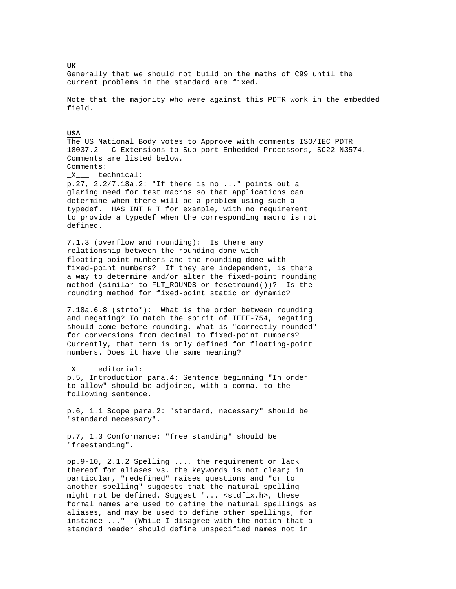Generally that we should not build on the maths of C99 until the current problems in the standard are fixed.

Note that the majority who were against this PDTR work in the embedded field.

### **USA**

The US National Body votes to Approve with comments ISO/IEC PDTR 18037.2 - C Extensions to Sup port Embedded Processors, SC22 N3574. Comments are listed below. Comments:

\_X\_\_\_ technical:

p.27, 2.2/7.18a.2: "If there is no ..." points out a glaring need for test macros so that applications can determine when there will be a problem using such a typedef. HAS\_INT\_R\_T for example, with no requirement to provide a typedef when the corresponding macro is not defined.

7.1.3 (overflow and rounding): Is there any relationship between the rounding done with floating-point numbers and the rounding done with fixed-point numbers? If they are independent, is there a way to determine and/or alter the fixed-point rounding method (similar to FLT\_ROUNDS or fesetround())? Is the rounding method for fixed-point static or dynamic?

7.18a.6.8 (strto\*): What is the order between rounding and negating? To match the spirit of IEEE-754, negating should come before rounding. What is "correctly rounded" for conversions from decimal to fixed-point numbers? Currently, that term is only defined for floating-point numbers. Does it have the same meaning?

\_X\_\_\_ editorial: p.5, Introduction para.4: Sentence beginning "In order to allow" should be adjoined, with a comma, to the following sentence.

p.6, 1.1 Scope para.2: "standard, necessary" should be "standard necessary".

p.7, 1.3 Conformance: "free standing" should be "freestanding".

pp.9-10, 2.1.2 Spelling ..., the requirement or lack thereof for aliases vs. the keywords is not clear; in particular, "redefined" raises questions and "or to another spelling" suggests that the natural spelling might not be defined. Suggest "... <stdfix.h>, these formal names are used to define the natural spellings as aliases, and may be used to define other spellings, for instance ..." (While I disagree with the notion that a standard header should define unspecified names not in

# **UK**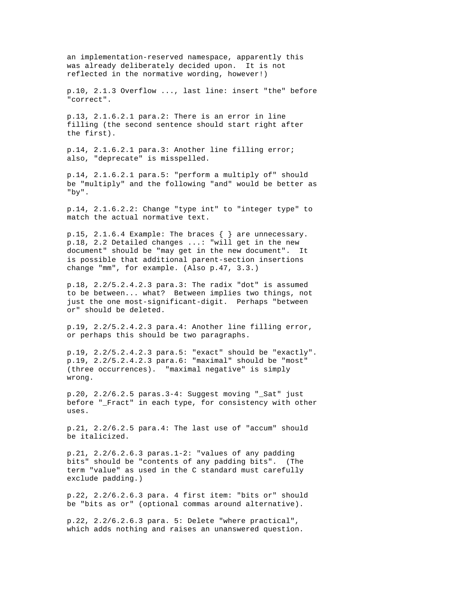an implementation-reserved namespace, apparently this was already deliberately decided upon. It is not reflected in the normative wording, however!)

p.10, 2.1.3 Overflow ..., last line: insert "the" before "correct".

p.13, 2.1.6.2.1 para.2: There is an error in line filling (the second sentence should start right after the first).

p.14, 2.1.6.2.1 para.3: Another line filling error; also, "deprecate" is misspelled.

p.14, 2.1.6.2.1 para.5: "perform a multiply of" should be "multiply" and the following "and" would be better as "by".

p.14, 2.1.6.2.2: Change "type int" to "integer type" to match the actual normative text.

p.15, 2.1.6.4 Example: The braces { } are unnecessary. p.18, 2.2 Detailed changes ...: "will get in the new document" should be "may get in the new document". It is possible that additional parent-section insertions change "mm", for example. (Also p.47, 3.3.)

p.18, 2.2/5.2.4.2.3 para.3: The radix "dot" is assumed to be between... what? Between implies two things, not just the one most-significant-digit. Perhaps "between or" should be deleted.

p.19, 2.2/5.2.4.2.3 para.4: Another line filling error, or perhaps this should be two paragraphs.

p.19, 2.2/5.2.4.2.3 para.5: "exact" should be "exactly". p.19, 2.2/5.2.4.2.3 para.6: "maximal" should be "most" (three occurrences). "maximal negative" is simply wrong.

p.20,  $2.2/6.2.5$  paras. $3-4$ : Suggest moving " Sat" just before " Fract" in each type, for consistency with other uses.

p.21, 2.2/6.2.5 para.4: The last use of "accum" should be italicized.

p.21, 2.2/6.2.6.3 paras.1-2: "values of any padding bits" should be "contents of any padding bits". (The term "value" as used in the C standard must carefully exclude padding.)

p.22, 2.2/6.2.6.3 para. 4 first item: "bits or" should be "bits as or" (optional commas around alternative).

p.22, 2.2/6.2.6.3 para. 5: Delete "where practical", which adds nothing and raises an unanswered question.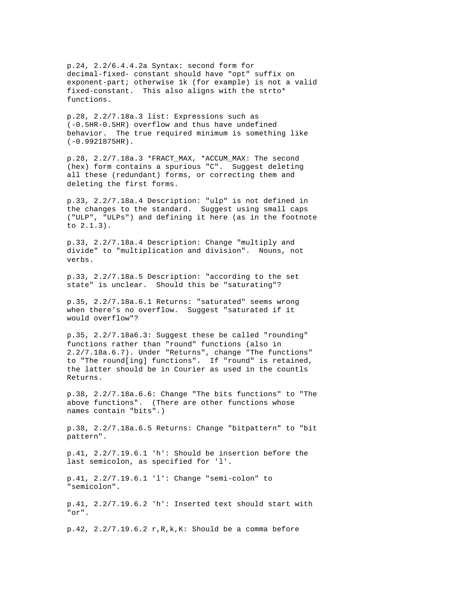p.24, 2.2/6.4.4.2a Syntax: second form for decimal-fixed- constant should have "opt" suffix on exponent-part; otherwise 1k (for example) is not a valid fixed-constant. This also aligns with the strto\* functions.

p.28, 2.2/7.18a.3 list: Expressions such as (-0.5HR-0.5HR) overflow and thus have undefined behavior. The true required minimum is something like (-0.9921875HR).

p.28, 2.2/7.18a.3 \*FRACT\_MAX, \*ACCUM\_MAX: The second (hex) form contains a spurious "C". Suggest deleting all these (redundant) forms, or correcting them and deleting the first forms.

p.33, 2.2/7.18a.4 Description: "ulp" is not defined in the changes to the standard. Suggest using small caps ("ULP", "ULPs") and defining it here (as in the footnote to 2.1.3).

p.33, 2.2/7.18a.4 Description: Change "multiply and divide" to "multiplication and division". Nouns, not verbs.

p.33, 2.2/7.18a.5 Description: "according to the set state" is unclear. Should this be "saturating"?

p.35, 2.2/7.18a.6.1 Returns: "saturated" seems wrong when there's no overflow. Suggest "saturated if it would overflow"?

p.35, 2.2/7.18a6.3: Suggest these be called "rounding" functions rather than "round" functions (also in 2.2/7.18a.6.7). Under "Returns", change "The functions" to "The round[ing] functions". If "round" is retained, the latter should be in Courier as used in the countls Returns.

p.38, 2.2/7.18a.6.6: Change "The bits functions" to "The above functions". (There are other functions whose names contain "bits".)

p.38, 2.2/7.18a.6.5 Returns: Change "bitpattern" to "bit pattern".

p.41, 2.2/7.19.6.1 'h': Should be insertion before the last semicolon, as specified for 'l'.

p.41, 2.2/7.19.6.1 'l': Change "semi-colon" to "semicolon".

p.41, 2.2/7.19.6.2 'h': Inserted text should start with "or".

p.42,  $2.2/7.19.6.2 r, R, k, K$ : Should be a comma before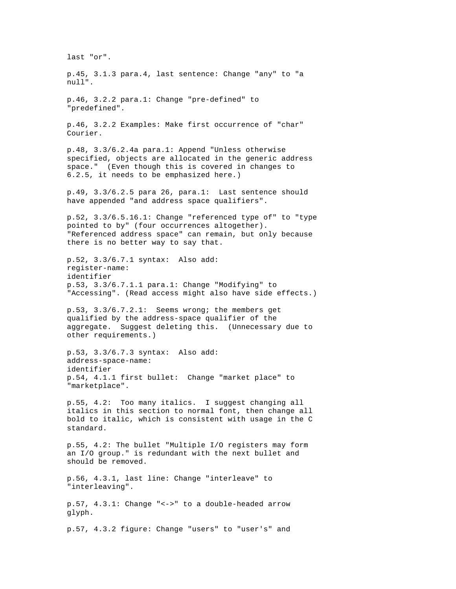last "or". p.45, 3.1.3 para.4, last sentence: Change "any" to "a null". p.46, 3.2.2 para.1: Change "pre-defined" to "predefined". p.46, 3.2.2 Examples: Make first occurrence of "char" Courier. p.48, 3.3/6.2.4a para.1: Append "Unless otherwise specified, objects are allocated in the generic address space." (Even though this is covered in changes to 6.2.5, it needs to be emphasized here.) p.49, 3.3/6.2.5 para 26, para.1: Last sentence should have appended "and address space qualifiers". p.52, 3.3/6.5.16.1: Change "referenced type of" to "type pointed to by" (four occurrences altogether). "Referenced address space" can remain, but only because there is no better way to say that. p.52, 3.3/6.7.1 syntax: Also add: register-name: identifier p.53, 3.3/6.7.1.1 para.1: Change "Modifying" to "Accessing". (Read access might also have side effects.) p.53, 3.3/6.7.2.1: Seems wrong; the members get qualified by the address-space qualifier of the aggregate. Suggest deleting this. (Unnecessary due to other requirements.) p.53, 3.3/6.7.3 syntax: Also add: address-space-name: identifier p.54, 4.1.1 first bullet: Change "market place" to "marketplace". p.55, 4.2: Too many italics. I suggest changing all italics in this section to normal font, then change all bold to italic, which is consistent with usage in the C standard. p.55, 4.2: The bullet "Multiple I/O registers may form an I/O group." is redundant with the next bullet and should be removed. p.56, 4.3.1, last line: Change "interleave" to "interleaving". p.57, 4.3.1: Change "<->" to a double-headed arrow glyph. p.57, 4.3.2 figure: Change "users" to "user's" and